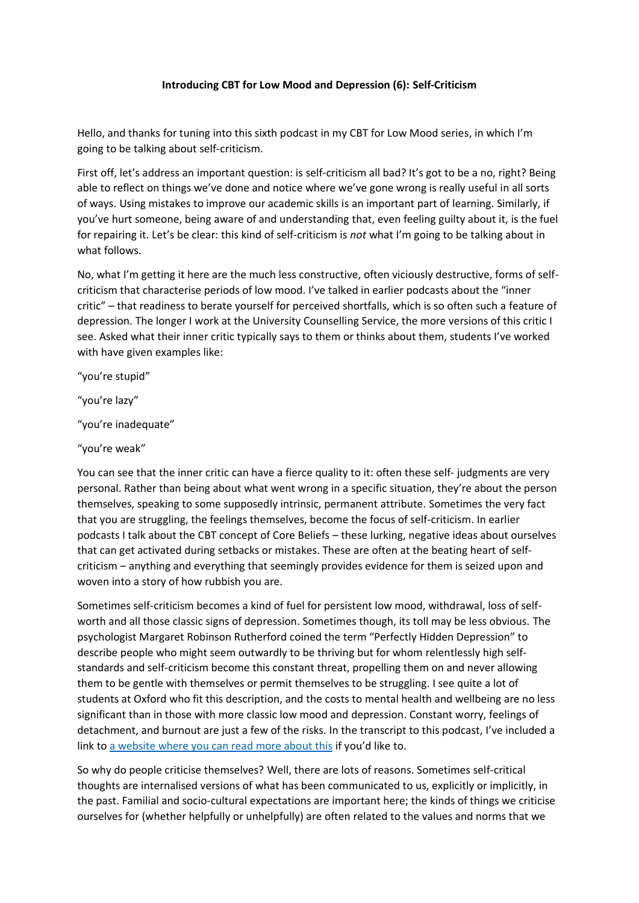## **Introducing CBT for Low Mood and Depression (6): Self-Criticism**

Hello, and thanks for tuning into this sixth podcast in my CBT for Low Mood series, in which I'm going to be talking about self-criticism.

First off, let's address an important question: is self-criticism all bad? It's got to be a no, right? Being able to reflect on things we've done and notice where we've gone wrong is really useful in all sorts of ways. Using mistakes to improve our academic skills is an important part of learning. Similarly, if you've hurt someone, being aware of and understanding that, even feeling guilty about it, is the fuel for repairing it. Let's be clear: this kind of self-criticism is *not* what I'm going to be talking about in what follows.

No, what I'm getting it here are the much less constructive, often viciously destructive, forms of selfcriticism that characterise periods of low mood. I've talked in earlier podcasts about the "inner critic" – that readiness to berate yourself for perceived shortfalls, which is so often such a feature of depression. The longer I work at the University Counselling Service, the more versions of this critic I see. Asked what their inner critic typically says to them or thinks about them, students I've worked with have given examples like:

"you're stupid"

"you're lazy"

"you're inadequate"

"you're weak"

You can see that the inner critic can have a fierce quality to it: often these self- judgments are very personal. Rather than being about what went wrong in a specific situation, they're about the person themselves, speaking to some supposedly intrinsic, permanent attribute. Sometimes the very fact that you are struggling, the feelings themselves, become the focus of self-criticism. In earlier podcasts I talk about the CBT concept of Core Beliefs – these lurking, negative ideas about ourselves that can get activated during setbacks or mistakes. These are often at the beating heart of selfcriticism – anything and everything that seemingly provides evidence for them is seized upon and woven into a story of how rubbish you are.

Sometimes self-criticism becomes a kind of fuel for persistent low mood, withdrawal, loss of selfworth and all those classic signs of depression. Sometimes though, its toll may be less obvious. The psychologist Margaret Robinson Rutherford coined the term "Perfectly Hidden Depression" to describe people who might seem outwardly to be thriving but for whom relentlessly high selfstandards and self-criticism become this constant threat, propelling them on and never allowing them to be gentle with themselves or permit themselves to be struggling. I see quite a lot of students at Oxford who fit this description, and the costs to mental health and wellbeing are no less significant than in those with more classic low mood and depression. Constant worry, feelings of detachment, and burnout are just a few of the risks. In the transcript to this podcast, I've included a link to [a website where you can read more about this](https://drmargaretrutherford.com/) if you'd like to.

So why do people criticise themselves? Well, there are lots of reasons. Sometimes self-critical thoughts are internalised versions of what has been communicated to us, explicitly or implicitly, in the past. Familial and socio-cultural expectations are important here; the kinds of things we criticise ourselves for (whether helpfully or unhelpfully) are often related to the values and norms that we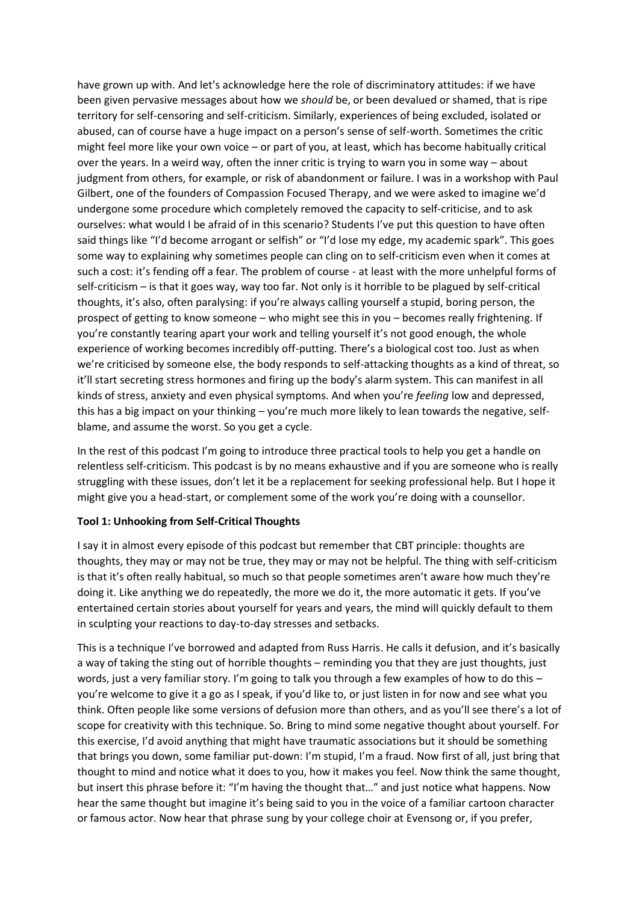have grown up with. And let's acknowledge here the role of discriminatory attitudes: if we have been given pervasive messages about how we *should* be, or been devalued or shamed, that is ripe territory for self-censoring and self-criticism. Similarly, experiences of being excluded, isolated or abused, can of course have a huge impact on a person's sense of self-worth. Sometimes the critic might feel more like your own voice – or part of you, at least, which has become habitually critical over the years. In a weird way, often the inner critic is trying to warn you in some way – about judgment from others, for example, or risk of abandonment or failure. I was in a workshop with Paul Gilbert, one of the founders of Compassion Focused Therapy, and we were asked to imagine we'd undergone some procedure which completely removed the capacity to self-criticise, and to ask ourselves: what would I be afraid of in this scenario? Students I've put this question to have often said things like "I'd become arrogant or selfish" or "I'd lose my edge, my academic spark". This goes some way to explaining why sometimes people can cling on to self-criticism even when it comes at such a cost: it's fending off a fear. The problem of course - at least with the more unhelpful forms of self-criticism – is that it goes way, way too far. Not only is it horrible to be plagued by self-critical thoughts, it's also, often paralysing: if you're always calling yourself a stupid, boring person, the prospect of getting to know someone – who might see this in you – becomes really frightening. If you're constantly tearing apart your work and telling yourself it's not good enough, the whole experience of working becomes incredibly off-putting. There's a biological cost too. Just as when we're criticised by someone else, the body responds to self-attacking thoughts as a kind of threat, so it'll start secreting stress hormones and firing up the body's alarm system. This can manifest in all kinds of stress, anxiety and even physical symptoms. And when you're *feeling* low and depressed, this has a big impact on your thinking – you're much more likely to lean towards the negative, selfblame, and assume the worst. So you get a cycle.

In the rest of this podcast I'm going to introduce three practical tools to help you get a handle on relentless self-criticism. This podcast is by no means exhaustive and if you are someone who is really struggling with these issues, don't let it be a replacement for seeking professional help. But I hope it might give you a head-start, or complement some of the work you're doing with a counsellor.

### **Tool 1: Unhooking from Self-Critical Thoughts**

I say it in almost every episode of this podcast but remember that CBT principle: thoughts are thoughts, they may or may not be true, they may or may not be helpful. The thing with self-criticism is that it's often really habitual, so much so that people sometimes aren't aware how much they're doing it. Like anything we do repeatedly, the more we do it, the more automatic it gets. If you've entertained certain stories about yourself for years and years, the mind will quickly default to them in sculpting your reactions to day-to-day stresses and setbacks.

This is a technique I've borrowed and adapted from Russ Harris. He calls it defusion, and it's basically a way of taking the sting out of horrible thoughts – reminding you that they are just thoughts, just words, just a very familiar story. I'm going to talk you through a few examples of how to do this – you're welcome to give it a go as I speak, if you'd like to, or just listen in for now and see what you think. Often people like some versions of defusion more than others, and as you'll see there's a lot of scope for creativity with this technique. So. Bring to mind some negative thought about yourself. For this exercise, I'd avoid anything that might have traumatic associations but it should be something that brings you down, some familiar put-down: I'm stupid, I'm a fraud. Now first of all, just bring that thought to mind and notice what it does to you, how it makes you feel. Now think the same thought, but insert this phrase before it: "I'm having the thought that…" and just notice what happens. Now hear the same thought but imagine it's being said to you in the voice of a familiar cartoon character or famous actor. Now hear that phrase sung by your college choir at Evensong or, if you prefer,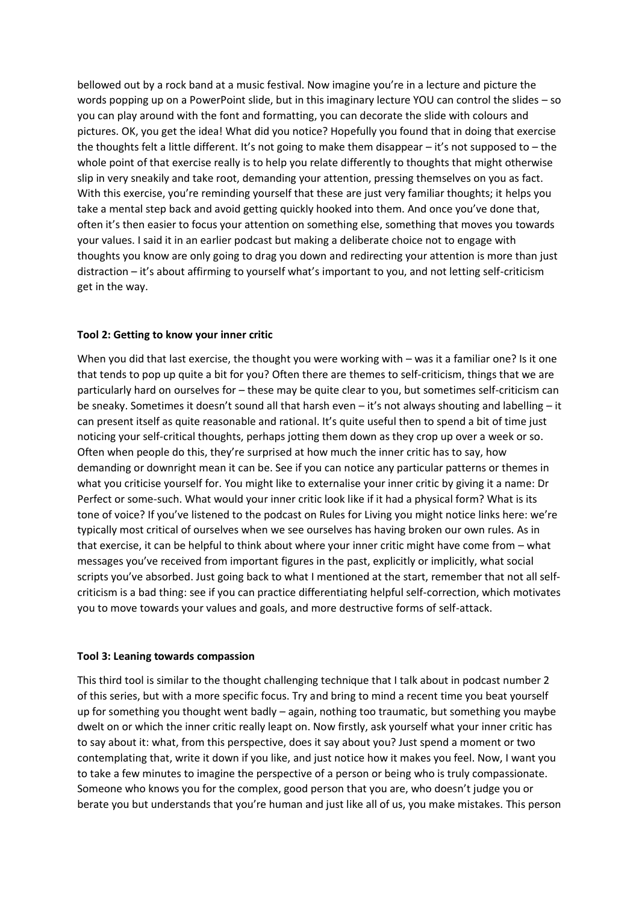bellowed out by a rock band at a music festival. Now imagine you're in a lecture and picture the words popping up on a PowerPoint slide, but in this imaginary lecture YOU can control the slides – so you can play around with the font and formatting, you can decorate the slide with colours and pictures. OK, you get the idea! What did you notice? Hopefully you found that in doing that exercise the thoughts felt a little different. It's not going to make them disappear – it's not supposed to – the whole point of that exercise really is to help you relate differently to thoughts that might otherwise slip in very sneakily and take root, demanding your attention, pressing themselves on you as fact. With this exercise, you're reminding yourself that these are just very familiar thoughts; it helps you take a mental step back and avoid getting quickly hooked into them. And once you've done that, often it's then easier to focus your attention on something else, something that moves you towards your values. I said it in an earlier podcast but making a deliberate choice not to engage with thoughts you know are only going to drag you down and redirecting your attention is more than just distraction – it's about affirming to yourself what's important to you, and not letting self-criticism get in the way.

### **Tool 2: Getting to know your inner critic**

When you did that last exercise, the thought you were working with – was it a familiar one? Is it one that tends to pop up quite a bit for you? Often there are themes to self-criticism, things that we are particularly hard on ourselves for – these may be quite clear to you, but sometimes self-criticism can be sneaky. Sometimes it doesn't sound all that harsh even – it's not always shouting and labelling – it can present itself as quite reasonable and rational. It's quite useful then to spend a bit of time just noticing your self-critical thoughts, perhaps jotting them down as they crop up over a week or so. Often when people do this, they're surprised at how much the inner critic has to say, how demanding or downright mean it can be. See if you can notice any particular patterns or themes in what you criticise yourself for. You might like to externalise your inner critic by giving it a name: Dr Perfect or some-such. What would your inner critic look like if it had a physical form? What is its tone of voice? If you've listened to the podcast on Rules for Living you might notice links here: we're typically most critical of ourselves when we see ourselves has having broken our own rules. As in that exercise, it can be helpful to think about where your inner critic might have come from – what messages you've received from important figures in the past, explicitly or implicitly, what social scripts you've absorbed. Just going back to what I mentioned at the start, remember that not all selfcriticism is a bad thing: see if you can practice differentiating helpful self-correction, which motivates you to move towards your values and goals, and more destructive forms of self-attack.

#### **Tool 3: Leaning towards compassion**

This third tool is similar to the thought challenging technique that I talk about in podcast number 2 of this series, but with a more specific focus. Try and bring to mind a recent time you beat yourself up for something you thought went badly – again, nothing too traumatic, but something you maybe dwelt on or which the inner critic really leapt on. Now firstly, ask yourself what your inner critic has to say about it: what, from this perspective, does it say about you? Just spend a moment or two contemplating that, write it down if you like, and just notice how it makes you feel. Now, I want you to take a few minutes to imagine the perspective of a person or being who is truly compassionate. Someone who knows you for the complex, good person that you are, who doesn't judge you or berate you but understands that you're human and just like all of us, you make mistakes. This person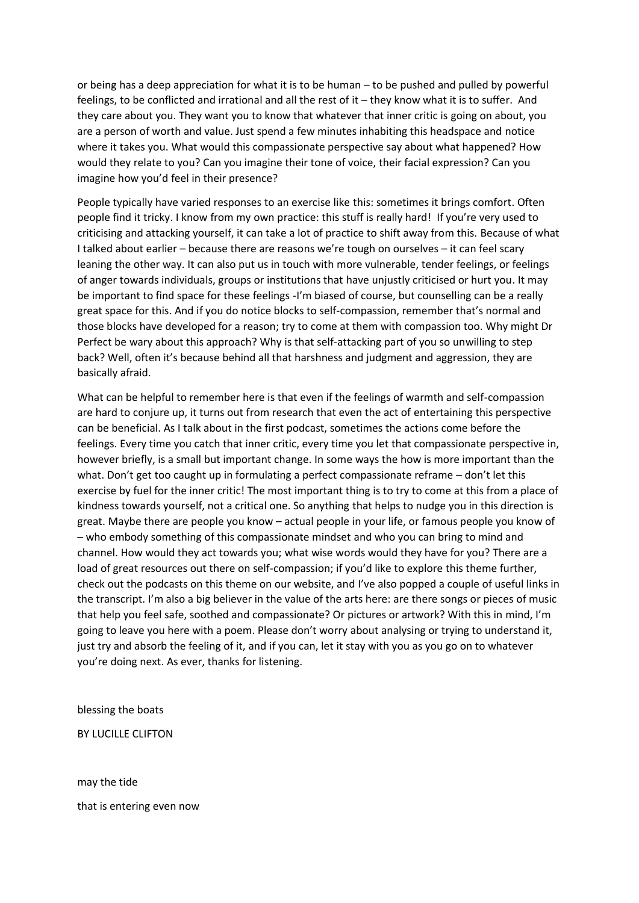or being has a deep appreciation for what it is to be human – to be pushed and pulled by powerful feelings, to be conflicted and irrational and all the rest of it – they know what it is to suffer. And they care about you. They want you to know that whatever that inner critic is going on about, you are a person of worth and value. Just spend a few minutes inhabiting this headspace and notice where it takes you. What would this compassionate perspective say about what happened? How would they relate to you? Can you imagine their tone of voice, their facial expression? Can you imagine how you'd feel in their presence?

People typically have varied responses to an exercise like this: sometimes it brings comfort. Often people find it tricky. I know from my own practice: this stuff is really hard! If you're very used to criticising and attacking yourself, it can take a lot of practice to shift away from this. Because of what I talked about earlier – because there are reasons we're tough on ourselves – it can feel scary leaning the other way. It can also put us in touch with more vulnerable, tender feelings, or feelings of anger towards individuals, groups or institutions that have unjustly criticised or hurt you. It may be important to find space for these feelings -I'm biased of course, but counselling can be a really great space for this. And if you do notice blocks to self-compassion, remember that's normal and those blocks have developed for a reason; try to come at them with compassion too. Why might Dr Perfect be wary about this approach? Why is that self-attacking part of you so unwilling to step back? Well, often it's because behind all that harshness and judgment and aggression, they are basically afraid.

What can be helpful to remember here is that even if the feelings of warmth and self-compassion are hard to conjure up, it turns out from research that even the act of entertaining this perspective can be beneficial. As I talk about in the first podcast, sometimes the actions come before the feelings. Every time you catch that inner critic, every time you let that compassionate perspective in, however briefly, is a small but important change. In some ways the how is more important than the what. Don't get too caught up in formulating a perfect compassionate reframe – don't let this exercise by fuel for the inner critic! The most important thing is to try to come at this from a place of kindness towards yourself, not a critical one. So anything that helps to nudge you in this direction is great. Maybe there are people you know – actual people in your life, or famous people you know of – who embody something of this compassionate mindset and who you can bring to mind and channel. How would they act towards you; what wise words would they have for you? There are a load of great resources out there on self-compassion; if you'd like to explore this theme further, check out the podcasts on this theme on our website, and I've also popped a couple of useful links in the transcript. I'm also a big believer in the value of the arts here: are there songs or pieces of music that help you feel safe, soothed and compassionate? Or pictures or artwork? With this in mind, I'm going to leave you here with a poem. Please don't worry about analysing or trying to understand it, just try and absorb the feeling of it, and if you can, let it stay with you as you go on to whatever you're doing next. As ever, thanks for listening.

blessing the boats

BY LUCILLE CLIFTON

may the tide that is entering even now